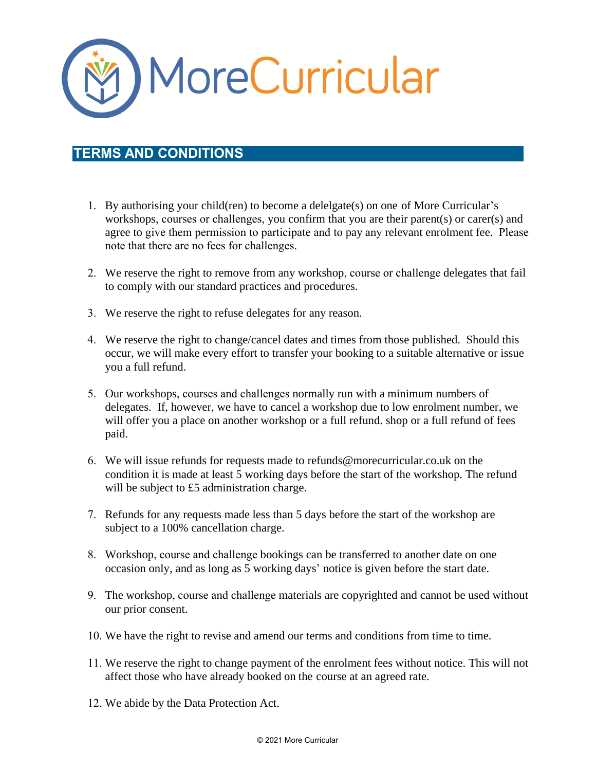

## **TERMS AND CONDITIONS**

- 1. By authorising your child(ren) to become a delelgate(s) on one of More Curricular's workshops, courses or challenges, you confirm that you are their parent(s) or carer(s) and agree to give them permission to participate and to pay any relevant enrolment fee. Please note that there are no fees for challenges.
- 2. We reserve the right to remove from any workshop, course or challenge delegates that fail to comply with our standard practices and procedures.
- 3. We reserve the right to refuse delegates for any reason.
- 4. We reserve the right to change/cancel dates and times from those published. Should this occur, we will make every effort to transfer your booking to a suitable alternative or issue you a full refund.
- 5. Our workshops, courses and challenges normally run with a minimum numbers of delegates. If, however, we have to cancel a workshop due to low enrolment number, we will offer you a place on another workshop or a full refund. shop or a full refund of fees paid.
- 6. We will issue refunds for requests made to [refunds@morecurricular.co.uk](mailto:refunds@morecurricular.co.uk) on the condition it is made at least 5 working days before the start of the workshop. The refund will be subject to £5 administration charge.
- 7. Refunds for any requests made less than 5 days before the start of the workshop are subject to a 100% cancellation charge.
- 8. Workshop, course and challenge bookings can be transferred to another date on one occasion only, and as long as 5 working days' notice is given before the start date.
- 9. The workshop, course and challenge materials are copyrighted and cannot be used without our prior consent.
- 10. We have the right to revise and amend our terms and conditions from time to time.
- 11. We reserve the right to change payment of the enrolment fees without notice. This will not affect those who have already booked on the course at an agreed rate.
- 12. We abide by the Data Protection Act.